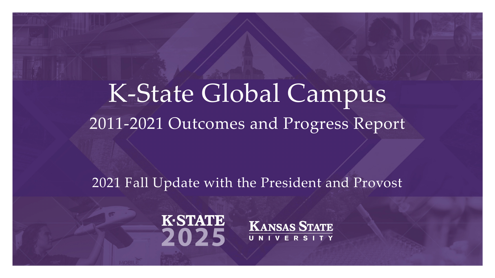#### K-State Global Campus 2011-2021 Outcomes and Progress Report

#### 2021 Fall Update with the President and Provost



**KANSAS STATE** UNIVERSITY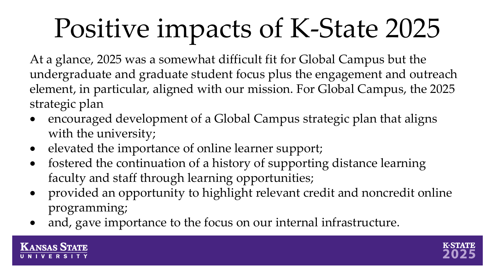## Positive impacts of K-State 2025

At a glance, 2025 was a somewhat difficult fit for Global Campus but the undergraduate and graduate student focus plus the engagement and outreach element, in particular, aligned with our mission. For Global Campus, the 2025 strategic plan

- encouraged development of a Global Campus strategic plan that aligns with the university;
- elevated the importance of online learner support;
- fostered the continuation of a history of supporting distance learning faculty and staff through learning opportunities;
- provided an opportunity to highlight relevant credit and noncredit online programming;
- and, gave importance to the focus on our internal infrastructure.



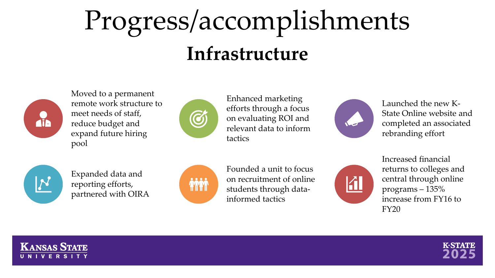#### Progress/accomplishments **Infrastructure**



Moved to a permanent remote work structure to meet needs of staff, reduce budget and expand future hiring pool



Enhanced marketing efforts through a focus on evaluating ROI and relevant data to inform tactics



Launched the new K-State Online website and completed an associated rebranding effort



Expanded data and reporting efforts, partnered with OIRA



Founded a unit to focus on recruitment of online students through datainformed tactics



Increased financial returns to colleges and central through online programs – 135% increase from FY16 to FY20



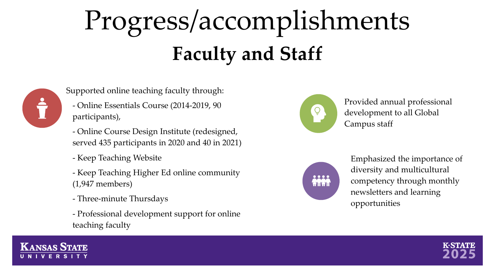### Progress/accomplishments **Faculty and Staff**



Supported online teaching faculty through:

- Online Essentials Course (2014-2019, 90 participants),
- Online Course Design Institute (redesigned, served 435 participants in 2020 and 40 in 2021)
- Keep Teaching Website
- Keep Teaching Higher Ed online community (1,947 members)
- Three-minute Thursdays
- Professional development support for online teaching faculty



Provided annual professional development to all Global Campus staff



Emphasized the importance of diversity and multicultural competency through monthly newsletters and learning opportunities



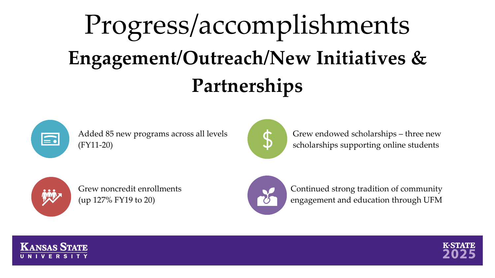#### Progress/accomplishments **Engagement/Outreach/New Initiatives & Partnerships**



Added 85 new programs across all levels (FY11-20)



Grew endowed scholarships – three new scholarships supporting online students



Grew noncredit enrollments (up 127% FY19 to 20)



Continued strong tradition of community engagement and education through UFM



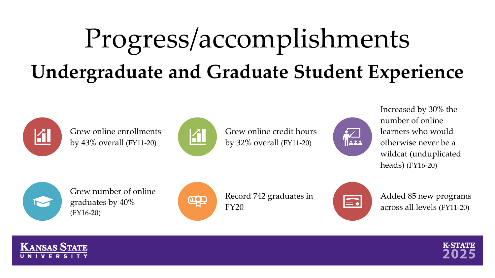#### Progress/accomplishments **Undergraduate and Graduate Student Experience**



Grew online enrollments by 43% overall (FY11-20)



Grew online credit hours by 32% overall (FY11-20)



Increased by 30% the number of online learners who would otherwise never be a wildcat (unduplicated heads) (FY16-20)



Grew number of online graduates by 40% (FY16-20)



Record 742 graduates in FY20



Added 85 new programs across all levels (FY11-20)



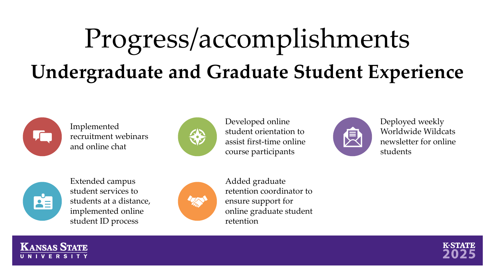#### Progress/accomplishments **Undergraduate and Graduate Student Experience**



Implemented recruitment webinars and online chat



Developed online student orientation to assist first-time online course participants



Deployed weekly Worldwide Wildcats newsletter for online students



**KANSAS STATE** 

Extended campus student services to students at a distance, implemented online student ID process



Added graduate retention coordinator to ensure support for online graduate student retention

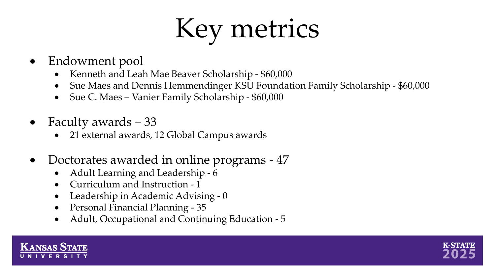## Key metrics

- Endowment pool
	- Kenneth and Leah Mae Beaver Scholarship \$60,000
	- Sue Maes and Dennis Hemmendinger KSU Foundation Family Scholarship \$60,000
	- Sue C. Maes Vanier Family Scholarship \$60,000
- Faculty awards 33
	- 21 external awards, 12 Global Campus awards
- Doctorates awarded in online programs 47
	- Adult Learning and Leadership 6
	- Curriculum and Instruction 1
	- Leadership in Academic Advising 0
	- Personal Financial Planning 35
	- Adult, Occupational and Continuing Education 5